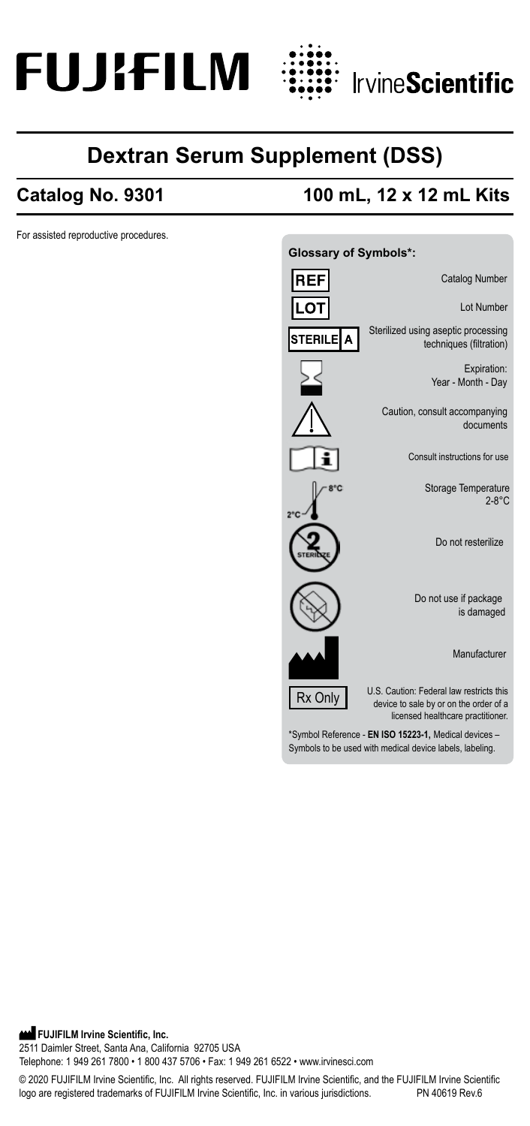



# **Dextran Serum Supplement (DSS)**

For assisted reproductive procedures.

## **Catalog No. 9301 100 mL, 12 x 12 mL Kits**



Symbols to be used with medical device labels, labeling.

© 2020 FUJIFILM Irvine Scientific, Inc. All rights reserved. FUJIFILM Irvine Scientific, and the FUJIFILM Irvine Scientific logo are registered trademarks of FUJIFILM Irvine Scientific, Inc. in various jurisdictions.